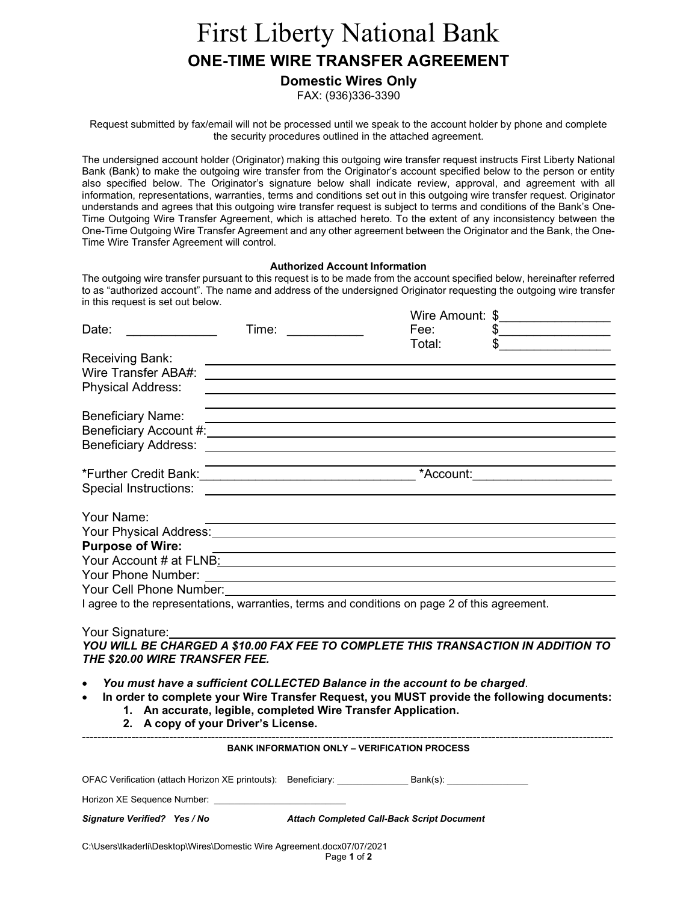## First Liberty National Bank ONE-TIME WIRE TRANSFER AGREEMENT

 Domestic Wires Only FAX: (936)336-3390

 Request submitted by fax/email will not be processed until we speak to the account holder by phone and complete the security procedures outlined in the attached agreement.

 The undersigned account holder (Originator) making this outgoing wire transfer request instructs First Liberty National Bank (Bank) to make the outgoing wire transfer from the Originator's account specified below to the person or entity also specified below. The Originator's signature below shall indicate review, approval, and agreement with all information, representations, warranties, terms and conditions set out in this outgoing wire transfer request. Originator understands and agrees that this outgoing wire transfer request is subject to terms and conditions of the Bank's One- Time Outgoing Wire Transfer Agreement, which is attached hereto. To the extent of any inconsistency between the One-Time Outgoing Wire Transfer Agreement and any other agreement between the Originator and the Bank, the One-Time Wire Transfer Agreement will control.

## Authorized Account Information

 The outgoing wire transfer pursuant to this request is to be made from the account specified below, hereinafter referred to as "authorized account". The name and address of the undersigned Originator requesting the outgoing wire transfer in this request is set out below.

|                                                                                                                                                                                                                                                                         |                                                            |                                                                                                                                                                                                                                                                                                                                                         | Wire Amount: \$_________________ |
|-------------------------------------------------------------------------------------------------------------------------------------------------------------------------------------------------------------------------------------------------------------------------|------------------------------------------------------------|---------------------------------------------------------------------------------------------------------------------------------------------------------------------------------------------------------------------------------------------------------------------------------------------------------------------------------------------------------|----------------------------------|
| Date:                                                                                                                                                                                                                                                                   | Time:                                                      | Fee:                                                                                                                                                                                                                                                                                                                                                    | $\frac{1}{2}$                    |
| Receiving Bank:<br>Wire Transfer ABA#:<br><b>Physical Address:</b>                                                                                                                                                                                                      |                                                            | Total:<br><u> Andreas Andreas Andreas Andreas Andreas Andreas Andreas Andreas Andreas Andreas Andreas Andreas Andreas Andr</u>                                                                                                                                                                                                                          |                                  |
| <b>Beneficiary Name:</b>                                                                                                                                                                                                                                                |                                                            | <u> 1989 - Johann Stoff, deutscher Stoff, der Stoff, der Stoff, der Stoff, der Stoff, der Stoff, der Stoff, der S</u><br>Beneficiary Account #: University of the Contract of the Contract of the Contract of the Contract of the Contract of the Contract of the Contract of the Contract of the Contract of the Contract of the Contract of the Contr |                                  |
| Special Instructions: Special Instructions:                                                                                                                                                                                                                             |                                                            | *Account:                                                                                                                                                                                                                                                                                                                                               |                                  |
| Your Name:<br>Your Physical Address: Version of the Contract of the Contract of the Contract of the Contract of the Contract of the Contract of the Contract of the Contract of the Contract of the Contract of the Contract of the Contract<br><b>Purpose of Wire:</b> | <u> 1980 - Johann Barbara, martxa alemaniar amerikan a</u> |                                                                                                                                                                                                                                                                                                                                                         |                                  |
|                                                                                                                                                                                                                                                                         |                                                            | <u> Louis Communication (Communication (Communication)</u>                                                                                                                                                                                                                                                                                              |                                  |
| Your Phone Number:                                                                                                                                                                                                                                                      |                                                            |                                                                                                                                                                                                                                                                                                                                                         |                                  |
| Your Cell Phone Number: New Your Cell Phone Number:                                                                                                                                                                                                                     |                                                            |                                                                                                                                                                                                                                                                                                                                                         |                                  |
|                                                                                                                                                                                                                                                                         |                                                            | I agree to the representations, warranties, terms and conditions on page 2 of this agreement.                                                                                                                                                                                                                                                           |                                  |

Your Signature:

 YOU WILL BE CHARGED A \$10.00 FAX FEE TO COMPLETE THIS TRANSACTION IN ADDITION TO THE \$20.00 WIRE TRANSFER FEE.

You must have a sufficient COLLECTED Balance in the account to be charged.

• In order to complete your Wire Transfer Request, you MUST provide the following documents: 1. An accurate, legible, completed Wire Transfer Application.

2. A copy of your Driver's License.

| <b>BANK INFORMATION ONLY - VERIFICATION PROCESS</b>           |                                                   |                             |  |  |
|---------------------------------------------------------------|---------------------------------------------------|-----------------------------|--|--|
|                                                               |                                                   |                             |  |  |
| OFAC Verification (attach Horizon XE printouts): Beneficiary: |                                                   | Bank(s): __________________ |  |  |
| Horizon XE Sequence Number:                                   |                                                   |                             |  |  |
| Signature Verified? Yes / No                                  | <b>Attach Completed Call-Back Script Document</b> |                             |  |  |

C:\Users\tkaderli\Desktop\Wires\Domestic Wire Agreement.docx07/07/2021

Page 1 of 2